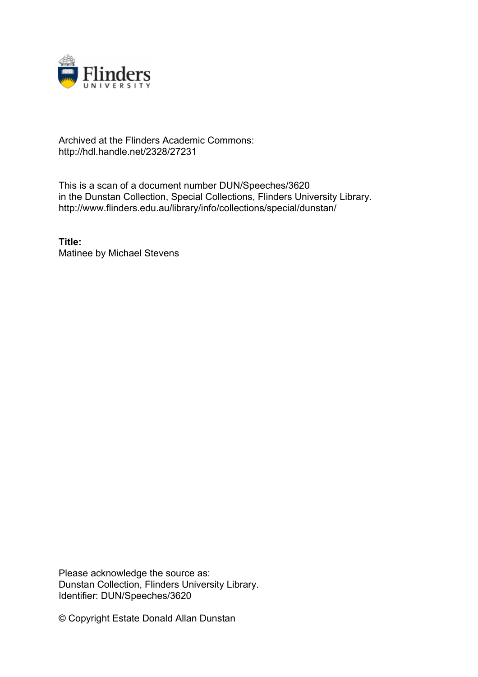

## Archived at the Flinders Academic Commons: http://hdl.handle.net/2328/27231

This is a scan of a document number DUN/Speeches/3620 in the Dunstan Collection, Special Collections, Flinders University Library. http://www.flinders.edu.au/library/info/collections/special/dunstan/

**Title:** Matinee by Michael Stevens

Please acknowledge the source as: Dunstan Collection, Flinders University Library. Identifier: DUN/Speeches/3620

© Copyright Estate Donald Allan Dunstan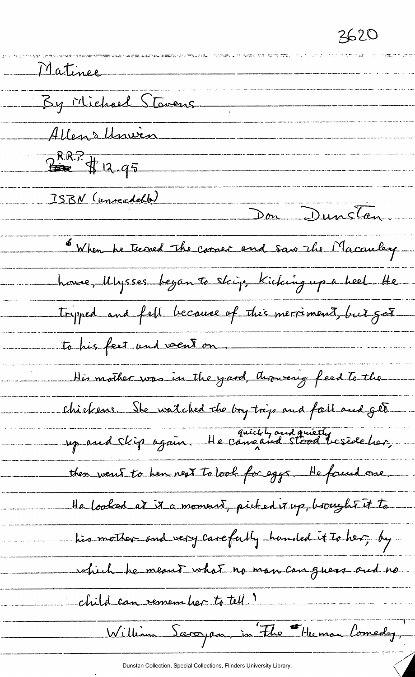3620

Matinee By Michael Stavens Allen Monvin  $2^{kR.17}$  of 12.95 ISBN (unreadedd) Don Dunstan. 6 When he teened the corner and saw the Macauley house, Ulysses began to skip, Kicking up a heel He tryped and fell because of this merriment, but got to his feet and veent on. His mother was in the yard, thousand feed to the chickens. She watched the boy trips and fall and get up and skip again. He cameaud stood beside her, then went to hen next to look for eggs. He found one He looked at it a moment, picked it up, brought it to his mother and very carefully handed it to her, by which he meant what no man can guess and no child can remember to tell. William Saroyan, in Fho Heman Comedy,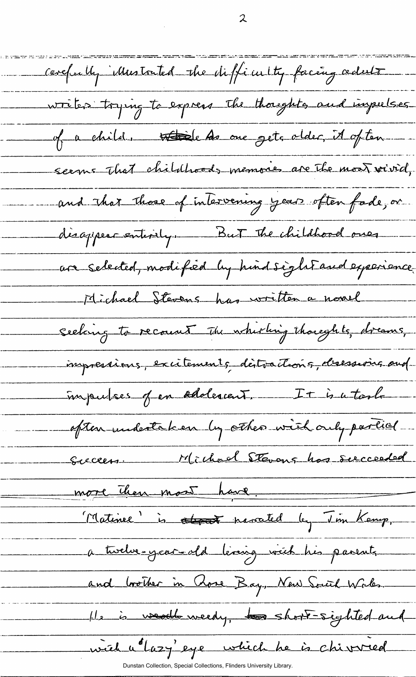carefuelly illustrated the difficulty facing adult writes trying to express the thoughts and inpulses of a child, <del>Abide As</del> one gets older, it often seems that childhoods memories are the most vivid, and that those of intervening years often fade, or disappear entirely. But the childhood ones are selected, modified by hind sight and experience Michael Stevens has written a novel seeking to recount the whirling thoughts, dreams, impressions, excitements déstractions, desessions and impulses of en oddercent. It is a took often undertaken by other with only partial Succession Michael Stevens has succeeded more then most have. Matinee' is attend navated by Jim Kemp, a twelve-year- dd leving with his pasents and brother in Rose Bay, New South Wales. He is weekbursedy, to short-sighted and wich u lazy'eye which he is chivred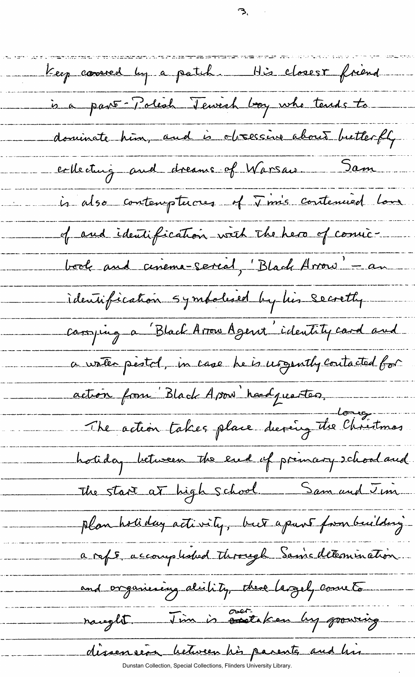Keep carred by a patch. His closest friend is a part Polech Tewish boy who tends to dominate him, and is obsessive about butterfly collecture and dreams of Warsau Sam is also contempterous of Tim's contenued love of and identification with the hero of comicbook and cinema-serial, "Black Arrow" - an identification symbolised by his secrethy. corrying a Black Arow Agent identity card and a vater pestol, in case he is usgently contacted for action from Black Ason headquartes The action takes place during the Christmas holiday between the end of primary school and The start at high school. Sam and Jim plan holiday activity, but apart formbuilding a ref5, accomplished through Sainc determination and organizing distity, these largely cometa raught . J'im is contributed by growing dissension between his parente and his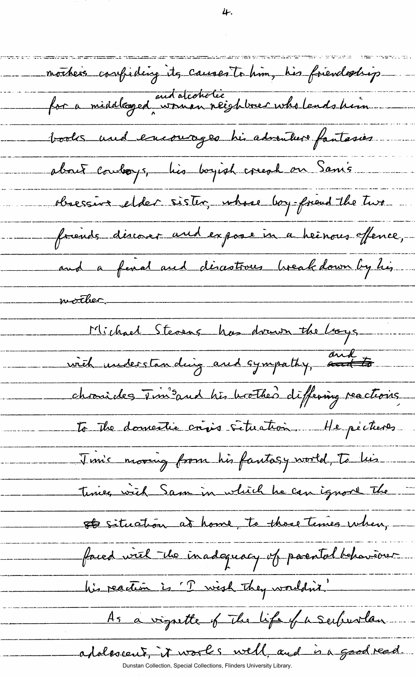mothers confiding its causes to him, his friendagliep. for a middleazed woman reighbrer who lends him. books und encourages his adventure fantasies. about coulor, his boyish creat on San's obsessive elder sister, whose boy-friend the two friends discover and expose in a heinous offence, and a fenal and disastrous breakdown by his worker. Michael Stevens has drawn the boys with understanding and sympathy, and to chronides  $\overline{v}$  in sand his brother differing reactions. to the domestie crises situation. He pécheses Jim's moving from his fantasy world, To his Times with Sam in which he can ignore the ste situation at home, to those times when, faced with the inadequacy of parental behaviour his reaction is 'T wish they wouldn't. As a vignette of the life of a suburlan adoloscent, it works well, and in a good read.

4.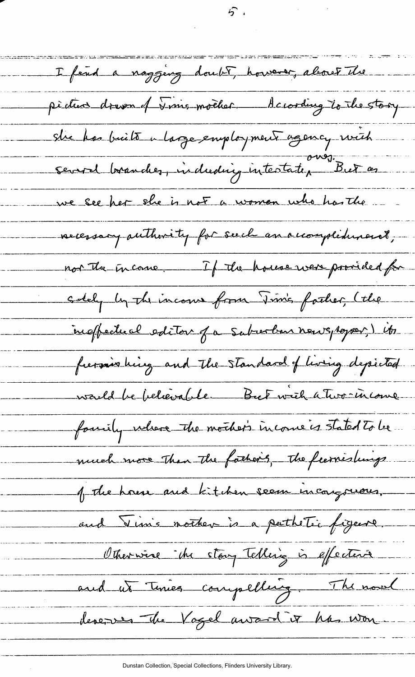I feud a naggery doubt, however, about the pident dreven of Jims mocker. According to the stary sur has buits a large employment agency with several boranches, induding intestate, But as we see her she is not a woman who has the necessary authority for seech an occomplishment, not the income. If the house were provided for solely by the income from Tim's father, (the ingffectual estitor fa subsorban newspaper) its furnishing and the standard of living depicted warld be believable But with a Two-income family where the mother's income is stated to be much more than the father's, the fearnishings. of the house and kitchen seem incongruous. and Vinis nother is a pathétic figure. Otherwise the stay Telling is effective and ut times compelling. The novel devenus the Vogel award it has won

ゟ゙

Dunstan Collection, Special Collections, Flinders University Library.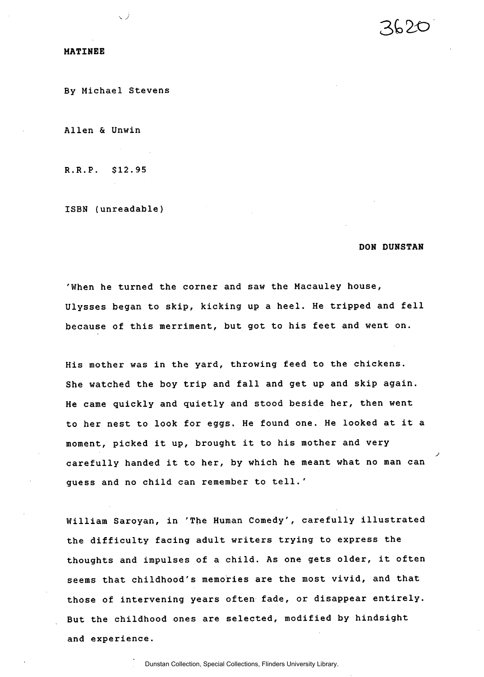## MATINEE

By Michael Stevens

 $\setminus$  *J*  $\setminus$ 

Allen & Unwin

R.R.P. \$12.95

ISBN (unreadable)

## DON DUNSTAN

'When he turned the corner and saw the Macauley house, Ulysses began to skip, kicking up a heel. He tripped and fell because of this merriment, but got to his feet and went on.

His mother was in the yard, throwing feed to the chickens. She watched the boy trip and fall and get up and skip again. He came quickly and quietly and stood beside her, then went to her nest to look for eggs. He found one. He looked at it a moment, picked it up, brought it to his mother and very carefully handed it to her, by which he meant what no man can guess and no child can remember to tell.'

William Saroyan, in 'The Human Comedy', carefully illustrated the difficulty facing adult writers trying to express the thoughts and impulses of a child. As one gets older, it often seems that childhood's memories are the most vivid, and that those of intervening years often fade, or disappear entirely. But the childhood ones are selected, modified by hindsight and experience.

Dunstan Collection, Special Collections, Flinders University Library.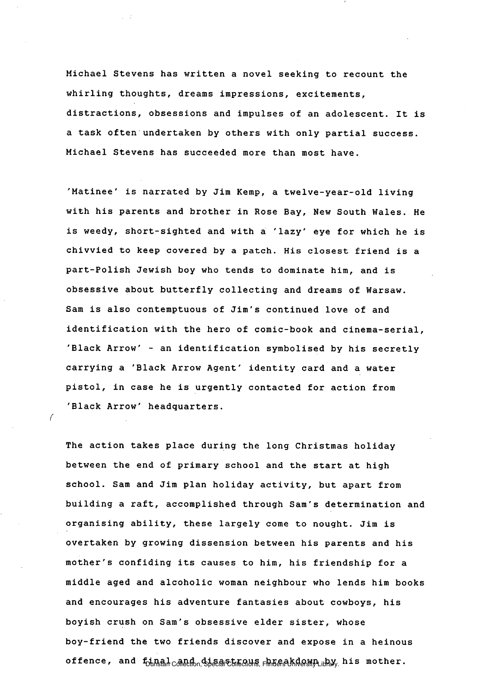Michael Stevens has written a novel seeking to recount the whirling thoughts, dreams impressions, excitements, distractions, obsessions and impulses of an adolescent. It is a task often undertaken by others with only partial success. Michael Stevens has succeeded more than most have.

'Matinee' is narrated by Jim Kemp, a twelve-year-old living with his parents and brother in Rose Bay, New South Wales. He is weedy, short-sighted and with a 'lazy' eye for which he is chivvied to keep covered by a patch. His closest friend is a part-Polish Jewish boy who tends to dominate him, and is obsessive about butterfly collecting and dreams of Warsaw. Sam is also contemptuous of Jim's continued love of and identification with the hero of comic-book and cinema-serial, 'Black Arrow' - an identification symbolised by his secretly carrying a 'Black Arrow Agent' identity card and a water pistol, in case he is urgently contacted for action from 'Black Arrow' headquarters.

The action takes place during the long Christmas holiday between the end of primary school and the start at high school. Sam and Jim plan holiday activity, but apart from building a raft, accomplished through Sam's determination and organising ability, these largely come to nought. Jim is overtaken by growing dissension between his parents and his mother's confiding its causes to him, his friendship for a middle aged and alcoholic woman neighbour who lends him books and encourages his adventure fantasies about cowboys, his boyish crush on Sam's obsessive elder sister, whose boy-friend the two friends discover and expose in a heinous offence, and final and disastrows Fliedway whis mother.